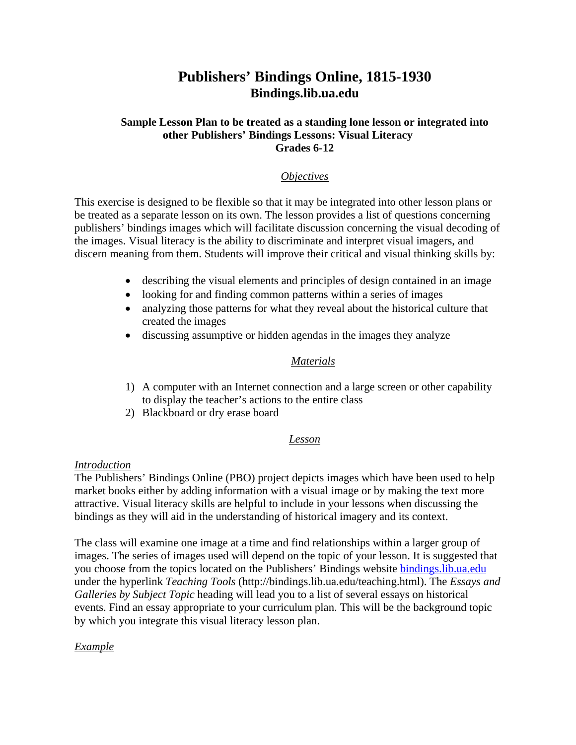# **Publishers' Bindings Online, 1815-1930 Bindings.lib.ua.edu**

#### **Sample Lesson Plan to be treated as a standing lone lesson or integrated into other Publishers' Bindings Lessons: Visual Literacy Grades 6-12**

## *Objectives*

This exercise is designed to be flexible so that it may be integrated into other lesson plans or be treated as a separate lesson on its own. The lesson provides a list of questions concerning publishers' bindings images which will facilitate discussion concerning the visual decoding of the images. Visual literacy is the ability to discriminate and interpret visual imagers, and discern meaning from them. Students will improve their critical and visual thinking skills by:

- describing the visual elements and principles of design contained in an image
- looking for and finding common patterns within a series of images
- analyzing those patterns for what they reveal about the historical culture that created the images
- discussing assumptive or hidden agendas in the images they analyze

#### *Materials*

- 1) A computer with an Internet connection and a large screen or other capability to display the teacher's actions to the entire class
- 2) Blackboard or dry erase board

## *Lesson*

#### *Introduction*

The Publishers' Bindings Online (PBO) project depicts images which have been used to help market books either by adding information with a visual image or by making the text more attractive. Visual literacy skills are helpful to include in your lessons when discussing the bindings as they will aid in the understanding of historical imagery and its context.

The class will examine one image at a time and find relationships within a larger group of images. The series of images used will depend on the topic of your lesson. It is suggested that you choose from the topics located on the Publishers' Bindings website [bindings.lib.ua.edu](http://www.bindings.lib.ua.edu/) under the hyperlink *Teaching Tools* (http://bindings.lib.ua.edu/teaching.html). The *Essays and Galleries by Subject Topic* heading will lead you to a list of several essays on historical events. Find an essay appropriate to your curriculum plan. This will be the background topic by which you integrate this visual literacy lesson plan.

#### *Example*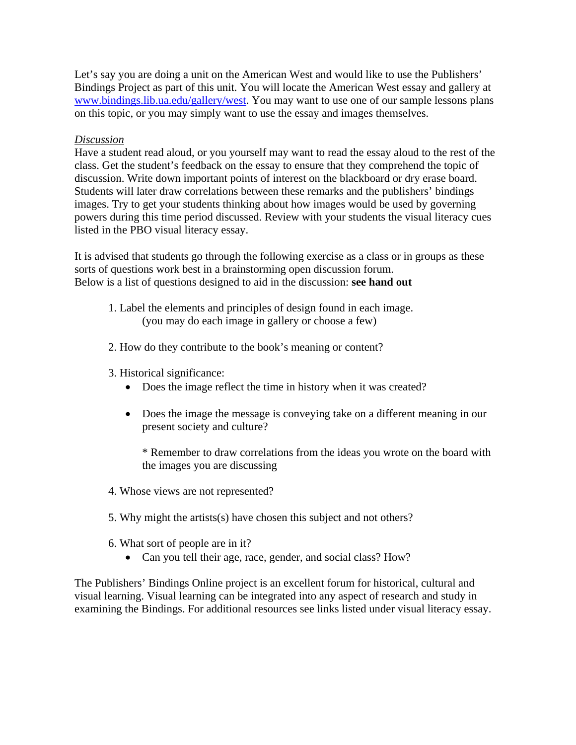Let's say you are doing a unit on the American West and would like to use the Publishers' Bindings Project as part of this unit. You will locate the American West essay and gallery at [www.bindings.lib.ua.edu/gallery/west.](http://www.bindings.lib.ua.edu/gallery/west) You may want to use one of our sample lessons plans on this topic, or you may simply want to use the essay and images themselves.

#### *Discussion*

Have a student read aloud, or you yourself may want to read the essay aloud to the rest of the class. Get the student's feedback on the essay to ensure that they comprehend the topic of discussion. Write down important points of interest on the blackboard or dry erase board. Students will later draw correlations between these remarks and the publishers' bindings images. Try to get your students thinking about how images would be used by governing powers during this time period discussed. Review with your students the visual literacy cues listed in the PBO visual literacy essay.

It is advised that students go through the following exercise as a class or in groups as these sorts of questions work best in a brainstorming open discussion forum. Below is a list of questions designed to aid in the discussion: **see hand out** 

- 1. Label the elements and principles of design found in each image. (you may do each image in gallery or choose a few)
- 2. How do they contribute to the book's meaning or content?
- 3. Historical significance:
	- Does the image reflect the time in history when it was created?
	- Does the image the message is conveying take on a different meaning in our present society and culture?

\* Remember to draw correlations from the ideas you wrote on the board with the images you are discussing

- 4. Whose views are not represented?
- 5. Why might the artists(s) have chosen this subject and not others?
- 6. What sort of people are in it?
	- Can you tell their age, race, gender, and social class? How?

The Publishers' Bindings Online project is an excellent forum for historical, cultural and visual learning. Visual learning can be integrated into any aspect of research and study in examining the Bindings. For additional resources see links listed under visual literacy essay.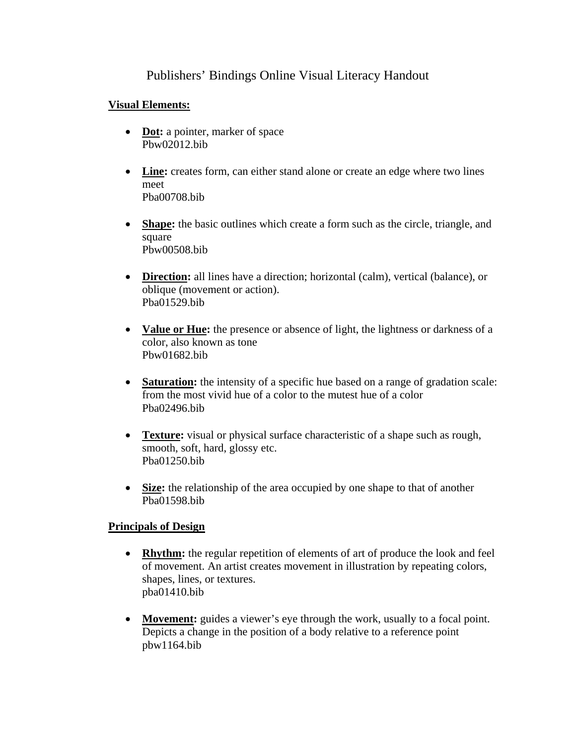## Publishers' Bindings Online Visual Literacy Handout

## **Visual Elements:**

- **[Dot:](http://www.pomona.edu/Academics/courserelated/classprojects/Visual-lit/dot/dot.html)** a pointer, marker of space Pbw02012.bib
- [Line:](http://www.pomona.edu/Academics/courserelated/classprojects/Visual-lit/line/line.HTML) creates form, can either stand alone or create an edge where two lines meet Pba00708.bib
- **[Shape](http://www.pomona.edu/Academics/courserelated/classprojects/Visual-lit/shape/shape.html):** the basic outlines which create a form such as the circle, triangle, and square Pbw00508.bib
- **[Direction](http://www.pomona.edu/Academics/courserelated/classprojects/Visual-lit/direction/direction.html):** all lines have a direction; horizontal (calm), vertical (balance), or oblique (movement or action). Pba01529.bib
- **[Value](http://www.pomona.edu/Academics/courserelated/classprojects/Visual-lit/value/value.html) or Hue:** the presence or absence of light, the lightness or darkness of a color, also known as tone Pbw01682.bib
- **[Saturation:](http://www.pomona.edu/Academics/courserelated/classprojects/Visual-lit/saturation/saturation.html)** the intensity of a specific hue based on a range of gradation scale: from the most vivid hue of a color to the mutest hue of a color Pba02496.bib
- **[Texture:](http://www.pomona.edu/Academics/courserelated/classprojects/Visual-lit/texture/texture.html)** visual or physical surface characteristic of a shape such as rough, smooth, soft, hard, glossy etc. Pba01250.bib
- **Size:** the relationship of the area occupied by one shape to that of another Pba01598.bib

## **Principals of Design**

- **Rhythm:** the regular repetition of elements of art of produce the look and feel of movement. An artist creates movement in illustration by repeating colors, shapes, lines, or textures. pba01410.bib
- **Movement:** guides a viewer's eye through the work, usually to a focal point. Depicts a change in the position of a body relative to a reference point pbw1164.bib